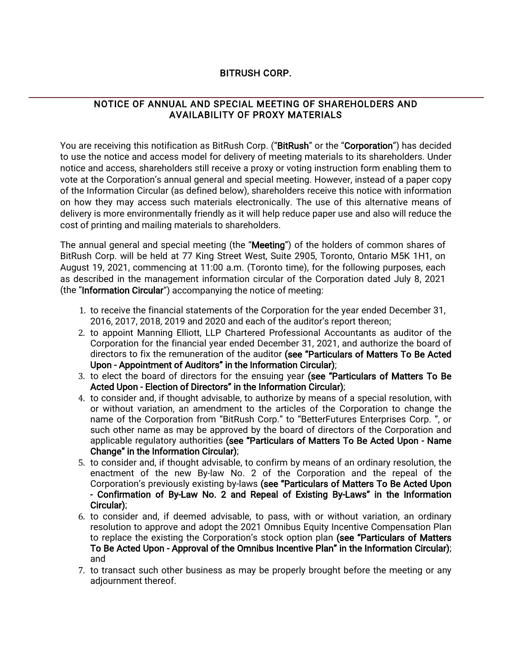# BITRUSH CORP.

# NOTICE OF ANNUAL AND SPECIAL MEETING OF SHAREHOLDERS AND AVAILABILITY OF PROXY MATERIALS

You are receiving this notification as BitRush Corp. ("BitRush" or the "Corporation") has decided to use the notice and access model for delivery of meeting materials to its shareholders. Under notice and access, shareholders still receive a proxy or voting instruction form enabling them to vote at the Corporation's annual general and special meeting. However, instead of a paper copy of the Information Circular (as defined below), shareholders receive this notice with information on how they may access such materials electronically. The use of this alternative means of delivery is more environmentally friendly as it will help reduce paper use and also will reduce the cost of printing and mailing materials to shareholders.

The annual general and special meeting (the "Meeting") of the holders of common shares of BitRush Corp. will be held at 77 King Street West, Suite 2905, Toronto, Ontario M5K 1H1, on August 19, 2021, commencing at 11:00 a.m. (Toronto time), for the following purposes, each as described in the management information circular of the Corporation dated July 8, 2021 (the "Information Circular") accompanying the notice of meeting:

- 1. to receive the financial statements of the Corporation for the year ended December 31, 2016, 2017, 2018, 2019 and 2020 and each of the auditor's report thereon;
- 2. to appoint Manning Elliott, LLP Chartered Professional Accountants as auditor of the Corporation for the financial year ended December 31, 2021, and authorize the board of directors to fix the remuneration of the auditor (see "Particulars of Matters To Be Acted Upon - Appointment of Auditors" in the Information Circular);
- 3. to elect the board of directors for the ensuing year (see "Particulars of Matters To Be Acted Upon - Election of Directors" in the Information Circular);
- 4. to consider and, if thought advisable, to authorize by means of a special resolution, with or without variation, an amendment to the articles of the Corporation to change the name of the Corporation from "BitRush Corp." to "BetterFutures Enterprises Corp. ", or such other name as may be approved by the board of directors of the Corporation and applicable regulatory authorities (see "Particulars of Matters To Be Acted Upon - Name Change" in the Information Circular);
- 5. to consider and, if thought advisable, to confirm by means of an ordinary resolution, the enactment of the new By-law No. 2 of the Corporation and the repeal of the Corporation's previously existing by-laws (see "Particulars of Matters To Be Acted Upon - Confirmation of By-Law No. 2 and Repeal of Existing By-Laws" in the Information Circular);
- 6. to consider and, if deemed advisable, to pass, with or without variation, an ordinary resolution to approve and adopt the 2021 Omnibus Equity Incentive Compensation Plan to replace the existing the Corporation's stock option plan (see "Particulars of Matters To Be Acted Upon - Approval of the Omnibus Incentive Plan" in the Information Circular); and
- 7. to transact such other business as may be properly brought before the meeting or any adjournment thereof.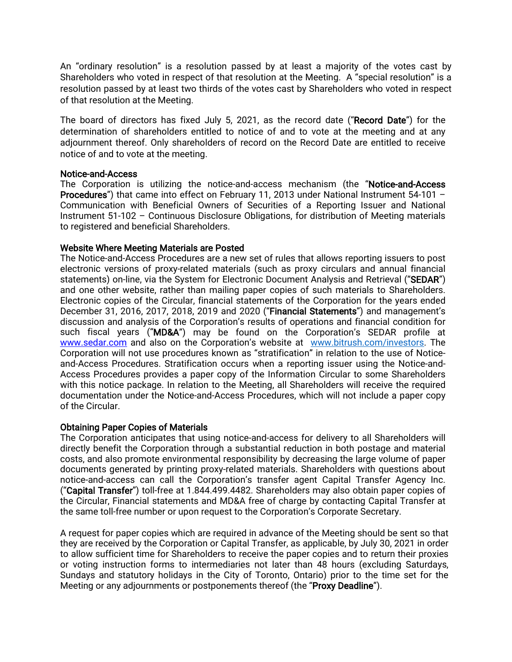An "ordinary resolution" is a resolution passed by at least a majority of the votes cast by Shareholders who voted in respect of that resolution at the Meeting. A "special resolution" is a resolution passed by at least two thirds of the votes cast by Shareholders who voted in respect of that resolution at the Meeting.

The board of directors has fixed July 5, 2021, as the record date ("Record Date") for the determination of shareholders entitled to notice of and to vote at the meeting and at any adjournment thereof. Only shareholders of record on the Record Date are entitled to receive notice of and to vote at the meeting.

#### Notice-and-Access

The Corporation is utilizing the notice-and-access mechanism (the "Notice-and-Access Procedures") that came into effect on February 11, 2013 under National Instrument 54-101 – Communication with Beneficial Owners of Securities of a Reporting Issuer and National Instrument 51-102 – Continuous Disclosure Obligations, for distribution of Meeting materials to registered and beneficial Shareholders.

#### Website Where Meeting Materials are Posted

The Notice-and-Access Procedures are a new set of rules that allows reporting issuers to post electronic versions of proxy-related materials (such as proxy circulars and annual financial statements) on-line, via the System for Electronic Document Analysis and Retrieval ("SEDAR") and one other website, rather than mailing paper copies of such materials to Shareholders. Electronic copies of the Circular, financial statements of the Corporation for the years ended December 31, 2016, 2017, 2018, 2019 and 2020 ("Financial Statements") and management's discussion and analysis of the Corporation's results of operations and financial condition for such fiscal years ("MD&A") may be found on the Corporation's SEDAR profile at [www.sedar.com](http://www.sedar.com/) and also on the Corporation's website at [www.bitrush.com/investors.](http://www.bitrush.com/investors) The Corporation will not use procedures known as "stratification" in relation to the use of Noticeand-Access Procedures. Stratification occurs when a reporting issuer using the Notice-and-Access Procedures provides a paper copy of the Information Circular to some Shareholders with this notice package. In relation to the Meeting, all Shareholders will receive the required documentation under the Notice-and-Access Procedures, which will not include a paper copy of the Circular.

### Obtaining Paper Copies of Materials

The Corporation anticipates that using notice-and-access for delivery to all Shareholders will directly benefit the Corporation through a substantial reduction in both postage and material costs, and also promote environmental responsibility by decreasing the large volume of paper documents generated by printing proxy-related materials. Shareholders with questions about notice-and-access can call the Corporation's transfer agent Capital Transfer Agency Inc. ("Capital Transfer") toll-free at 1.844.499.4482. Shareholders may also obtain paper copies of the Circular, Financial statements and MD&A free of charge by contacting Capital Transfer at the same toll-free number or upon request to the Corporation's Corporate Secretary.

A request for paper copies which are required in advance of the Meeting should be sent so that they are received by the Corporation or Capital Transfer, as applicable, by July 30, 2021 in order to allow sufficient time for Shareholders to receive the paper copies and to return their proxies or voting instruction forms to intermediaries not later than 48 hours (excluding Saturdays, Sundays and statutory holidays in the City of Toronto, Ontario) prior to the time set for the Meeting or any adjournments or postponements thereof (the "Proxy Deadline").